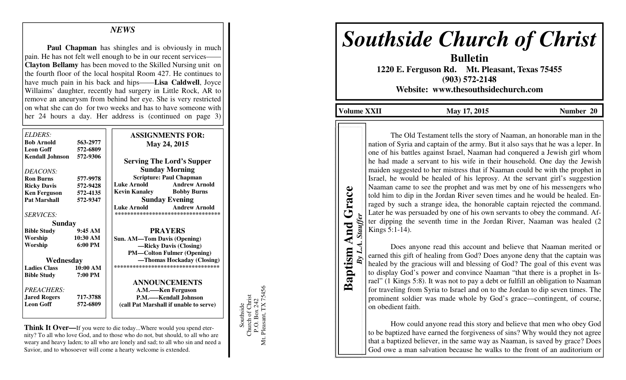## *NEWS*

**Paul Chapman** has shingles and is obviously in much pain. He has not felt well enough to be in our recent services— **Clayton Bellamy** has been moved to the Skilled Nursing unit on the fourth floor of the local hospital Room 427. He continues to have much pain in his back and hips——**Lisa Caldwell**, Joyce Willaims' daughter, recently had surgery in Little Rock, AR to remove an aneurysm from behind her eye. She is very restricted on what she can do for two weeks and has to have someone with her 24 hours a day. Her address is (continued on page 3)

| <b>ELDERS:</b>           |                   | <b>ASSIGNMENTS FOR:</b>                    |
|--------------------------|-------------------|--------------------------------------------|
| <b>Bob Arnold</b>        | 563-2977          |                                            |
| <b>Leon Goff</b>         | 572-6809          | May 24, 2015                               |
| Kendall Johnson 572-9306 |                   |                                            |
|                          |                   | <b>Serving The Lord's Supper</b>           |
|                          |                   | <b>Sunday Morning</b>                      |
| DEACONS:                 |                   | <b>Scripture: Paul Chapman</b>             |
| <b>Ron Burns</b>         | 577-9978          | Luke Arnold<br><b>Andrew Arnold</b>        |
| <b>Ricky Davis</b>       | 572-9428          |                                            |
| <b>Ken Ferguson</b>      | 572-4135          | Kevin Kanaley<br><b>Bobby Burns</b>        |
| <b>Pat Marshall</b>      | 572-9347          | <b>Sunday Evening</b>                      |
|                          |                   | <b>Andrew Arnold</b><br><b>Luke Arnold</b> |
| <b>SERVICES:</b>         |                   | **********************************         |
| Sunday                   |                   |                                            |
| <b>Bible Study</b>       | 9:45AM            | <b>PRAYERS</b>                             |
| Worship                  | $10:30$ AM        | <b>Sun. AM—Tom Davis (Opening)</b>         |
| Worship                  | $6:00 \text{ PM}$ | -Ricky Davis (Closing)                     |
|                          |                   | <b>PM—Colton Fulmer (Opening)</b>          |
| Wednesday                |                   | —Thomas Hockaday (Closing)                 |
| <b>Ladies Class</b>      | 10:00 AM          | ***********************************        |
| <b>Bible Study</b>       | 7:00 PM           |                                            |
|                          |                   | <b>ANNOUNCEMENTS</b>                       |
| <b>PREACHERS:</b>        |                   | A.M.—–Ken Ferguson                         |
| <b>Jared Rogers</b>      | 717-3788          | P.M.—–Kendall Johnson                      |
| <b>Leon Goff</b>         | 572-6809          | (call Pat Marshall if unable to serve)     |
|                          |                   |                                            |
|                          |                   |                                            |

**Think It Over—**If you were to die today...Where would you spend eternity? To all who love God, and to those who do not, but should, to all who are weary and heavy laden; to all who are lonely and sad; to all who sin and need a Savior, and to whosoever will come a hearty welcome is extended.

Southside<br>Church of Christ<br>P.O. Box 242<br>Mt. Pleasant, TX 75456 Mt. Pleasant, TX 75456 Church of Christ P.O. Box 242 Southside

## *Southside Church of Christ*

**Bulletin 1220 E. Ferguson Rd. Mt. Pleasant, Texas 75455 (903) 572-2148 Website: www.thesouthsidechurch.com** 

**Volume XXII** May 17, 2015 **Number 20** 

**Baptism And Grace Baptism And Grace** *By L.A. Stauffer* By L.A. Stauffer

The Old Testament tells the story of Naaman, an honorable man in the nation of Syria and captain of the army. But it also says that he was a leper. In one of his battles against Israel, Naaman had conquered a Jewish girl whom he had made a servant to his wife in their household. One day the Jewish maiden suggested to her mistress that if Naaman could be with the prophet in Israel, he would be healed of his leprosy. At the servant girl's suggestion Naaman came to see the prophet and was met by one of his messengers who told him to dip in the Jordan River seven times and he would be healed. Enraged by such a strange idea, the honorable captain rejected the command. Later he was persuaded by one of his own servants to obey the command. After dipping the seventh time in the Jordan River, Naaman was healed (2 Kings 5:1-14).

 Does anyone read this account and believe that Naaman merited or earned this gift of healing from God? Does anyone deny that the captain was healed by the gracious will and blessing of God? The goal of this event was to display God's power and convince Naaman "that there is a prophet in Israel" (1 Kings 5:8). It was not to pay a debt or fulfill an obligation to Naaman for traveling from Syria to Israel and on to the Jordan to dip seven times. The prominent soldier was made whole by God's grace—contingent, of course, on obedient faith.

 How could anyone read this story and believe that men who obey God to be baptized have earned the forgiveness of sins? Why would they not agree that a baptized believer, in the same way as Naaman, is saved by grace? Does God owe a man salvation because he walks to the front of an auditorium or